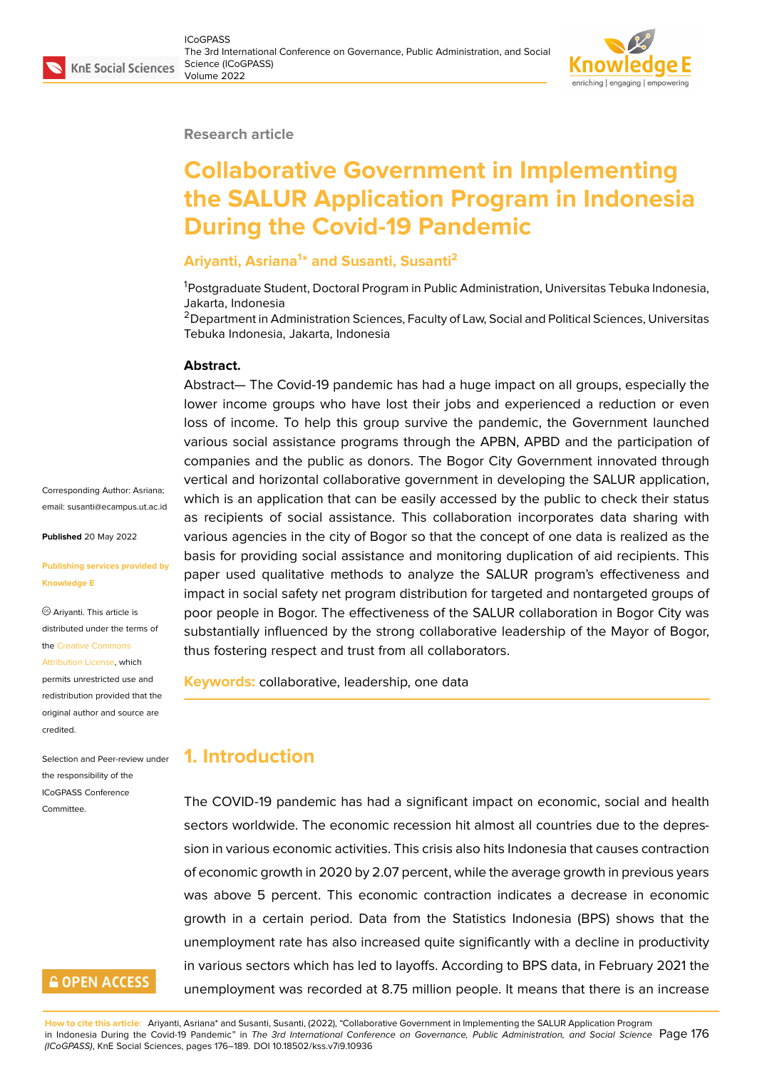#### **Research article**

# **Collaborative Government in Implementing the SALUR Application Program in Indonesia During the Covid-19 Pandemic**

#### **Ariyanti, Asriana<sup>1</sup> \* and Susanti, Susanti<sup>2</sup>**

<sup>1</sup>Postgraduate Student, Doctoral Program in Public Administration, Universitas Tebuka Indonesia, Jakarta, Indonesia

<sup>2</sup> Department in Administration Sciences, Faculty of Law, Social and Political Sciences, Universitas Tebuka Indonesia, Jakarta, Indonesia

#### **Abstract.**

Abstract— The Covid-19 pandemic has had a huge impact on all groups, especially the lower income groups who have lost their jobs and experienced a reduction or even loss of income. To help this group survive the pandemic, the Government launched various social assistance programs through the APBN, APBD and the participation of companies and the public as donors. The Bogor City Government innovated through vertical and horizontal collaborative government in developing the SALUR application, which is an application that can be easily accessed by the public to check their status as recipients of social assistance. This collaboration incorporates data sharing with various agencies in the city of Bogor so that the concept of one data is realized as the basis for providing social assistance and monitoring duplication of aid recipients. This paper used qualitative methods to analyze the SALUR program's effectiveness and impact in social safety net program distribution for targeted and nontargeted groups of poor people in Bogor. The effectiveness of the SALUR collaboration in Bogor City was substantially influenced by the strong collaborative leadership of the Mayor of Bogor, thus fostering respect and trust from all collaborators.

**Keywords:** collaborative, leadership, one data

#### **1. Introduction**

The COVID-19 pandemic has had a significant impact on economic, social and health sectors worldwide. The economic recession hit almost all countries due to the depression in various economic activities. This crisis also hits Indonesia that causes contraction of economic growth in 2020 by 2.07 percent, while the average growth in previous years was above 5 percent. This economic contraction indicates a decrease in economic growth in a certain period. Data from the Statistics Indonesia (BPS) shows that the unemployment rate has also increased quite significantly with a decline in productivity in various sectors which has led to layoffs. According to BPS data, in February 2021 the unemployment was recorded at 8.75 million people. It means that there is an increase

Corresponding Author: Asriana; email: susanti@ecampus.ut.ac.id

**Published** 20 May 2022

#### **Publis[hing services provided by](mailto:susanti@ecampus.ut.ac.id) Knowledge E**

Ariyanti. This article is distributed under the terms of the Creative Commons Attribution License, which permits unrestricted use and redistribution provided that the

orig[inal author and sou](https://creativecommons.org/licenses/by/4.0/)rce are

[credited.](https://creativecommons.org/licenses/by/4.0/)

Committee.

Selection and Peer-review under the responsibility of the ICoGPASS Conference

### **GOPEN ACCESS**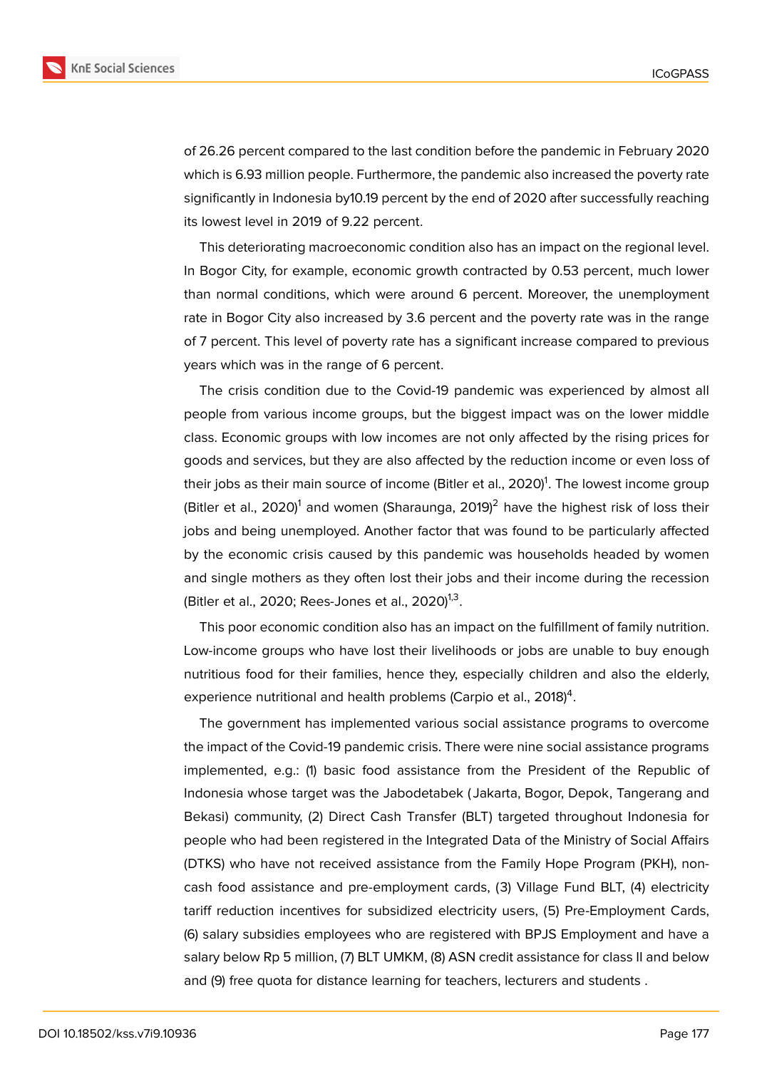

of 26.26 percent compared to the last condition before the pandemic in February 2020 which is 6.93 million people. Furthermore, the pandemic also increased the poverty rate significantly in Indonesia by10.19 percent by the end of 2020 after successfully reaching its lowest level in 2019 of 9.22 percent.

This deteriorating macroeconomic condition also has an impact on the regional level. In Bogor City, for example, economic growth contracted by 0.53 percent, much lower than normal conditions, which were around 6 percent. Moreover, the unemployment rate in Bogor City also increased by 3.6 percent and the poverty rate was in the range of 7 percent. This level of poverty rate has a significant increase compared to previous years which was in the range of 6 percent.

The crisis condition due to the Covid-19 pandemic was experienced by almost all people from various income groups, but the biggest impact was on the lower middle class. Economic groups with low incomes are not only affected by the rising prices for goods and services, but they are also affected by the reduction income or even loss of their jobs as their main source of income (Bitler et al., 2020)<sup>1</sup>. The lowest income group (Bitler et al., 2020) $^1$  and women (Sharaunga, 2019) $^2$  have the highest risk of loss their jobs and being unemployed. Another factor that was found to be particularly affected by the economic crisis caused by this pandemic was households headed by women and single mothers as they often lost their jobs and their income during the recession (Bitler et al., 2020; Rees-Jones et al., 2020) $^{1,3}$ .

This poor economic condition also has an impact on the fulfillment of family nutrition. Low-income groups who have lost their livelihoods or jobs are unable to buy enough nutritious food for their families, hence they, especially children and also the elderly, experience nutritional and health problems (Carpio et al., 2018) $^4$ .

The government has implemented various social assistance programs to overcome the impact of the Covid-19 pandemic crisis. There were nine social assistance programs implemented, e.g.: (1) basic food assistance from the President of the Republic of Indonesia whose target was the Jabodetabek ( Jakarta, Bogor, Depok, Tangerang and Bekasi) community, (2) Direct Cash Transfer (BLT) targeted throughout Indonesia for people who had been registered in the Integrated Data of the Ministry of Social Affairs (DTKS) who have not received assistance from the Family Hope Program (PKH), noncash food assistance and pre-employment cards, (3) Village Fund BLT, (4) electricity tariff reduction incentives for subsidized electricity users, (5) Pre-Employment Cards, (6) salary subsidies employees who are registered with BPJS Employment and have a salary below Rp 5 million, (7) BLT UMKM, (8) ASN credit assistance for class II and below and (9) free quota for distance learning for teachers, lecturers and students .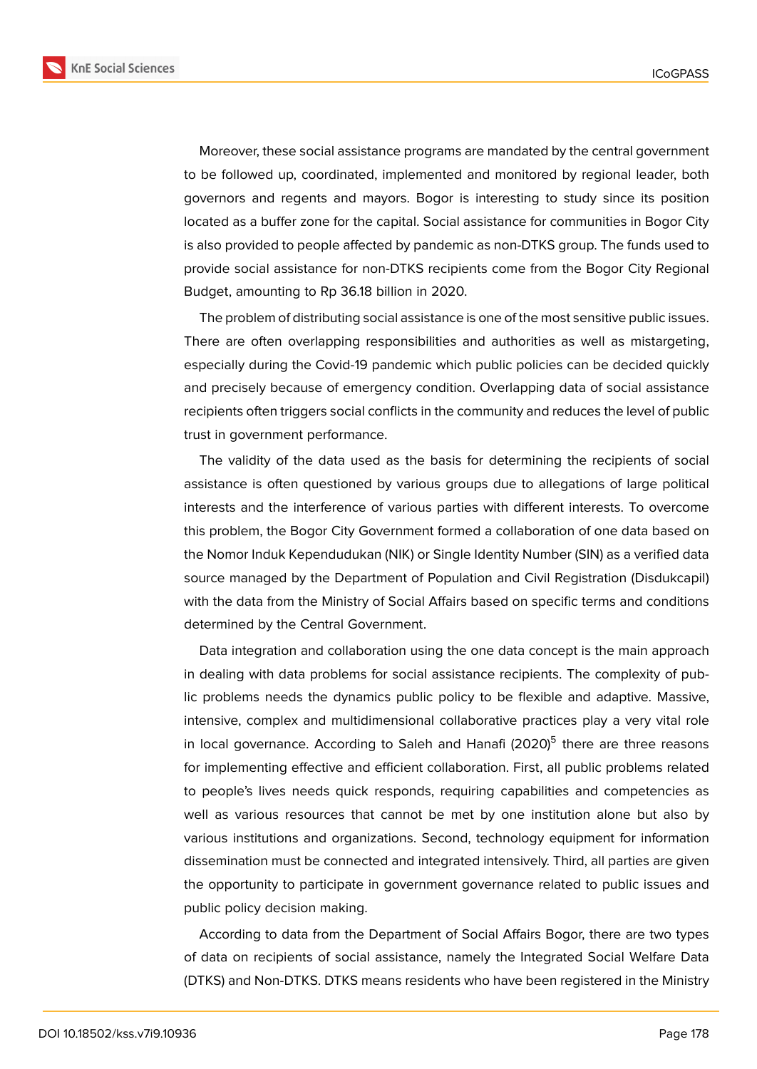**KnE Social Sciences** 



Moreover, these social assistance programs are mandated by the central government to be followed up, coordinated, implemented and monitored by regional leader, both governors and regents and mayors. Bogor is interesting to study since its position located as a buffer zone for the capital. Social assistance for communities in Bogor City is also provided to people affected by pandemic as non-DTKS group. The funds used to provide social assistance for non-DTKS recipients come from the Bogor City Regional Budget, amounting to Rp 36.18 billion in 2020.

The problem of distributing social assistance is one of the most sensitive public issues. There are often overlapping responsibilities and authorities as well as mistargeting, especially during the Covid-19 pandemic which public policies can be decided quickly and precisely because of emergency condition. Overlapping data of social assistance recipients often triggers social conflicts in the community and reduces the level of public trust in government performance.

The validity of the data used as the basis for determining the recipients of social assistance is often questioned by various groups due to allegations of large political interests and the interference of various parties with different interests. To overcome this problem, the Bogor City Government formed a collaboration of one data based on the Nomor Induk Kependudukan (NIK) or Single Identity Number (SIN) as a verified data source managed by the Department of Population and Civil Registration (Disdukcapil) with the data from the Ministry of Social Affairs based on specific terms and conditions determined by the Central Government.

Data integration and collaboration using the one data concept is the main approach in dealing with data problems for social assistance recipients. The complexity of public problems needs the dynamics public policy to be flexible and adaptive. Massive, intensive, complex and multidimensional collaborative practices play a very vital role in local governance. According to Saleh and Hanafi (2020)<sup>5</sup> there are three reasons for implementing effective and efficient collaboration. First, all public problems related to people's lives needs quick responds, requiring capabilities and competencies as well as various resources that cannot be met by one institution alone but also by various institutions and organizations. Second, technology equipment for information dissemination must be connected and integrated intensively. Third, all parties are given the opportunity to participate in government governance related to public issues and public policy decision making.

According to data from the Department of Social Affairs Bogor, there are two types of data on recipients of social assistance, namely the Integrated Social Welfare Data (DTKS) and Non-DTKS. DTKS means residents who have been registered in the Ministry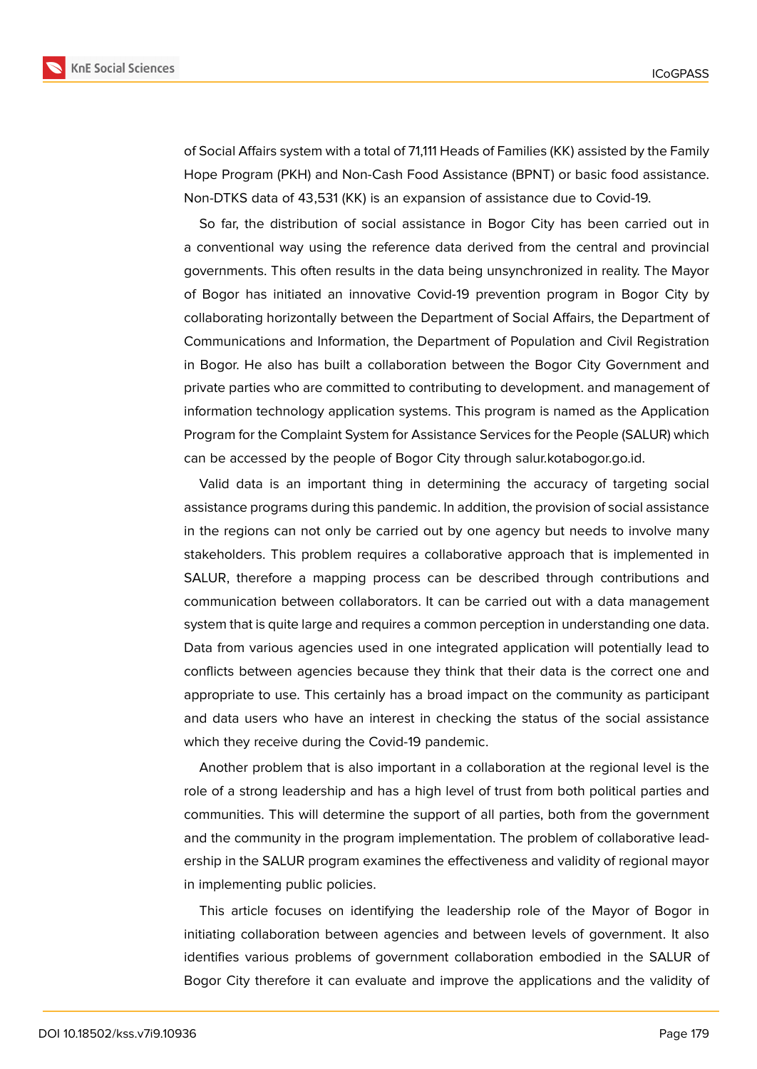



of Social Affairs system with a total of 71,111 Heads of Families (KK) assisted by the Family Hope Program (PKH) and Non-Cash Food Assistance (BPNT) or basic food assistance. Non-DTKS data of 43,531 (KK) is an expansion of assistance due to Covid-19.

So far, the distribution of social assistance in Bogor City has been carried out in a conventional way using the reference data derived from the central and provincial governments. This often results in the data being unsynchronized in reality. The Mayor of Bogor has initiated an innovative Covid-19 prevention program in Bogor City by collaborating horizontally between the Department of Social Affairs, the Department of Communications and Information, the Department of Population and Civil Registration in Bogor. He also has built a collaboration between the Bogor City Government and private parties who are committed to contributing to development. and management of information technology application systems. This program is named as the Application Program for the Complaint System for Assistance Services for the People (SALUR) which can be accessed by the people of Bogor City through salur.kotabogor.go.id.

Valid data is an important thing in determining the accuracy of targeting social assistance programs during this pandemic. In addition, the provision of social assistance in the regions can not only be carried out by one agency but needs to involve many stakeholders. This problem requires a collaborative approach that is implemented in SALUR, therefore a mapping process can be described through contributions and communication between collaborators. It can be carried out with a data management system that is quite large and requires a common perception in understanding one data. Data from various agencies used in one integrated application will potentially lead to conflicts between agencies because they think that their data is the correct one and appropriate to use. This certainly has a broad impact on the community as participant and data users who have an interest in checking the status of the social assistance which they receive during the Covid-19 pandemic.

Another problem that is also important in a collaboration at the regional level is the role of a strong leadership and has a high level of trust from both political parties and communities. This will determine the support of all parties, both from the government and the community in the program implementation. The problem of collaborative leadership in the SALUR program examines the effectiveness and validity of regional mayor in implementing public policies.

This article focuses on identifying the leadership role of the Mayor of Bogor in initiating collaboration between agencies and between levels of government. It also identifies various problems of government collaboration embodied in the SALUR of Bogor City therefore it can evaluate and improve the applications and the validity of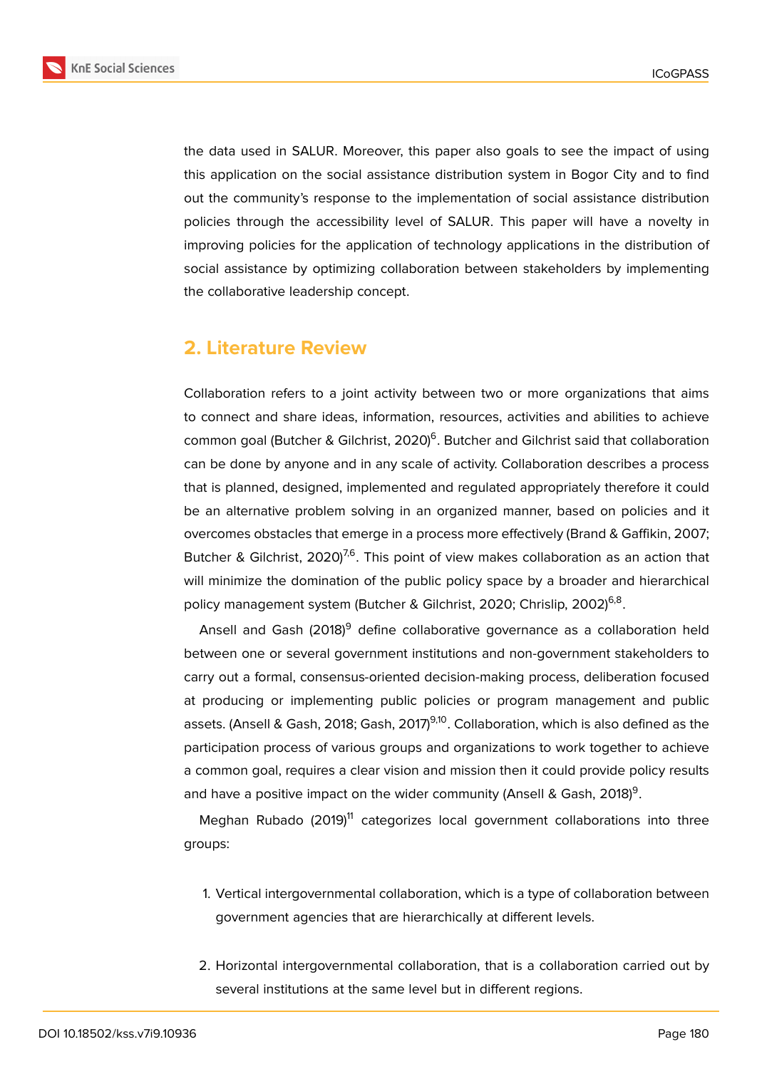

the data used in SALUR. Moreover, this paper also goals to see the impact of using this application on the social assistance distribution system in Bogor City and to find out the community's response to the implementation of social assistance distribution policies through the accessibility level of SALUR. This paper will have a novelty in improving policies for the application of technology applications in the distribution of social assistance by optimizing collaboration between stakeholders by implementing the collaborative leadership concept.

### **2. Literature Review**

Collaboration refers to a joint activity between two or more organizations that aims to connect and share ideas, information, resources, activities and abilities to achieve common goal (Butcher & Gilchrist, 2020)<sup>6</sup>. Butcher and Gilchrist said that collaboration can be done by anyone and in any scale of activity. Collaboration describes a process that is planned, designed, implemented and regulated appropriately therefore it could be an alternative problem solving in an organized manner, based on policies and it overcomes obstacles that emerge in a process more effectively (Brand & Gaffikin, 2007; Butcher & Gilchrist, 2020)<sup>7,6</sup>. This point of view makes collaboration as an action that will minimize the domination of the public policy space by a broader and hierarchical policy management system (Butcher & Gilchrist, 2020; Chrislip, 2002)<sup>6,8</sup>.

Ansell and Gash (2018)<sup>9</sup> define collaborative governance as a collaboration held between one or several government institutions and non-government stakeholders to carry out a formal, consensus-oriented decision-making process, deliberation focused at producing or implementing public policies or program management and public assets. (Ansell & Gash, 2018; Gash, 2017)<sup>9,10</sup>. Collaboration, which is also defined as the participation process of various groups and organizations to work together to achieve a common goal, requires a clear vision and mission then it could provide policy results and have a positive impact on the wider community (Ansell & Gash, 2018) $^9$ .

Meghan Rubado (2019)<sup>11</sup> categorizes local government collaborations into three groups:

- 1. Vertical intergovernmental collaboration, which is a type of collaboration between government agencies that are hierarchically at different levels.
- 2. Horizontal intergovernmental collaboration, that is a collaboration carried out by several institutions at the same level but in different regions.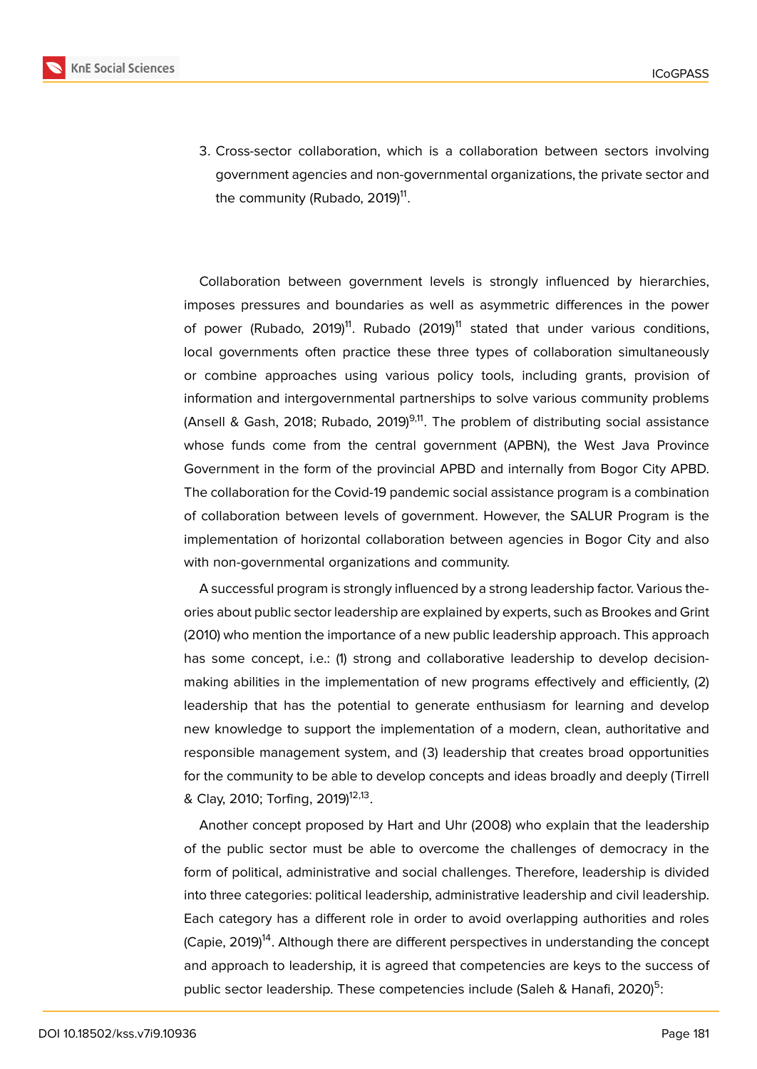

3. Cross-sector collaboration, which is a collaboration between sectors involving government agencies and non-governmental organizations, the private sector and the community (Rubado, 2019)<sup>11</sup>.

Collaboration between government levels is strongly influenced by hierarchies, imposes pressures and boundaries as well as asymmetric differences in the power of power (Rubado, 2019)<sup>11</sup>. Rubado (2019)<sup>11</sup> stated that under various conditions, local governments often practice these three types of collaboration simultaneously or combine approaches using various policy tools, including grants, provision of information and intergovernmental partnerships to solve various community problems (Ansell & Gash, 2018; Rubado, 2019)<sup>9,11</sup>. The problem of distributing social assistance whose funds come from the central government (APBN), the West Java Province Government in the form of the provincial APBD and internally from Bogor City APBD. The collaboration for the Covid-19 pandemic social assistance program is a combination of collaboration between levels of government. However, the SALUR Program is the implementation of horizontal collaboration between agencies in Bogor City and also with non-governmental organizations and community.

A successful program is strongly influenced by a strong leadership factor. Various theories about public sector leadership are explained by experts, such as Brookes and Grint (2010) who mention the importance of a new public leadership approach. This approach has some concept, i.e.: (1) strong and collaborative leadership to develop decisionmaking abilities in the implementation of new programs effectively and efficiently, (2) leadership that has the potential to generate enthusiasm for learning and develop new knowledge to support the implementation of a modern, clean, authoritative and responsible management system, and (3) leadership that creates broad opportunities for the community to be able to develop concepts and ideas broadly and deeply (Tirrell & Clay, 2010; Torfing, 2019)<sup>12,13</sup>.

Another concept proposed by Hart and Uhr (2008) who explain that the leadership of the public sector must be able to overcome the challenges of democracy in the form of political, administrative and social challenges. Therefore, leadership is divided into three categories: political leadership, administrative leadership and civil leadership. Each category has a different role in order to avoid overlapping authorities and roles (Capie, 2019)<sup>14</sup>. Although there are different perspectives in understanding the concept and approach to leadership, it is agreed that competencies are keys to the success of public sector leadership. These competencies include (Saleh & Hanafi, 2020)<sup>5</sup>: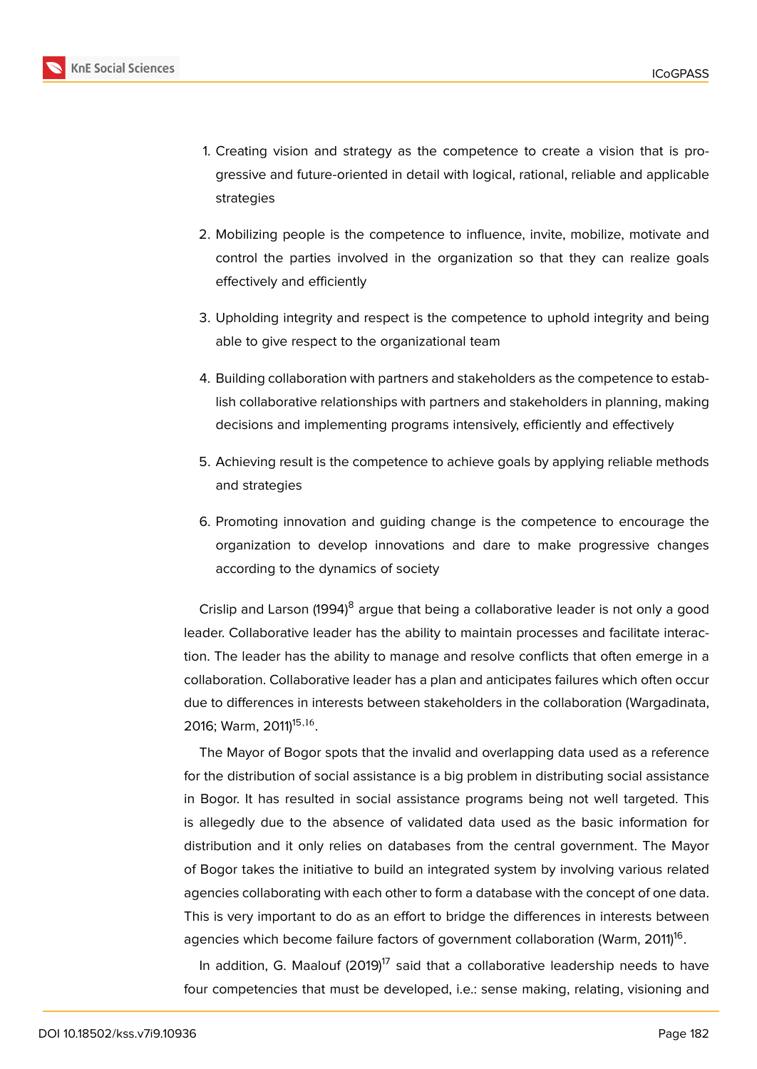

- 1. Creating vision and strategy as the competence to create a vision that is progressive and future-oriented in detail with logical, rational, reliable and applicable strategies
- 2. Mobilizing people is the competence to influence, invite, mobilize, motivate and control the parties involved in the organization so that they can realize goals effectively and efficiently
- 3. Upholding integrity and respect is the competence to uphold integrity and being able to give respect to the organizational team
- 4. Building collaboration with partners and stakeholders as the competence to establish collaborative relationships with partners and stakeholders in planning, making decisions and implementing programs intensively, efficiently and effectively
- 5. Achieving result is the competence to achieve goals by applying reliable methods and strategies
- 6. Promoting innovation and guiding change is the competence to encourage the organization to develop innovations and dare to make progressive changes according to the dynamics of society

Crislip and Larson (1994)<sup>8</sup> argue that being a collaborative leader is not only a good leader. Collaborative leader has the ability to maintain processes and facilitate interaction. The leader has the ability to manage and resolve conflicts that often emerge in a collaboration. Collaborative leader has a plan and anticipates failures which often occur due to differences in interests between stakeholders in the collaboration (Wargadinata, 2016; Warm, 2011)<sup>15,16</sup>.

The Mayor of Bogor spots that the invalid and overlapping data used as a reference for the distribution of social assistance is a big problem in distributing social assistance in Bogor. It has resulted in social assistance programs being not well targeted. This is allegedly due to the absence of validated data used as the basic information for distribution and it only relies on databases from the central government. The Mayor of Bogor takes the initiative to build an integrated system by involving various related agencies collaborating with each other to form a database with the concept of one data. This is very important to do as an effort to bridge the differences in interests between agencies which become failure factors of government collaboration (Warm, 2011) $^{\mathsf{16}}$ .

In addition, G. Maalouf  $(2019)^{17}$  said that a collaborative leadership needs to have four competencies that must be developed, i.e.: sense making, relating, visioning and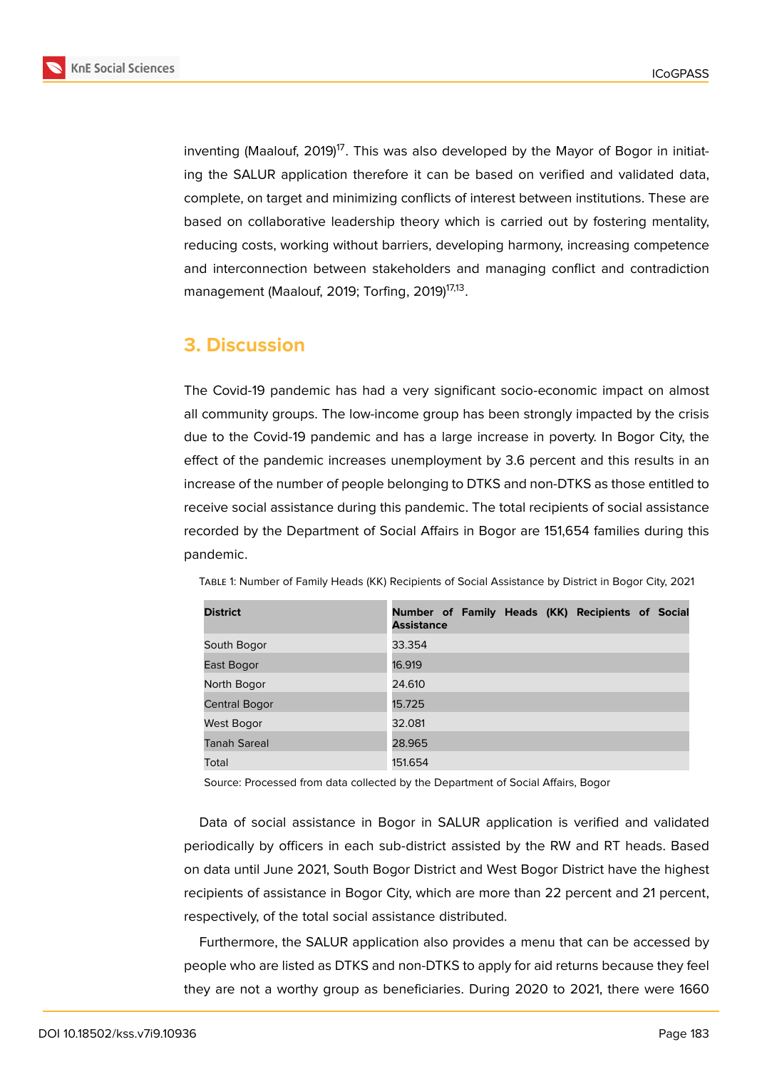

inventing (Maalouf, 2019)<sup>17</sup>. This was also developed by the Mayor of Bogor in initiating the SALUR application therefore it can be based on verified and validated data, complete, on target and minimizing conflicts of interest between institutions. These are based on collaborative leadership theory which is carried out by fostering mentality, reducing costs, working without barriers, developing harmony, increasing competence and interconnection between stakeholders and managing conflict and contradiction management (Maalouf, 2019; Torfing, 2019)<sup>17,13</sup>.

### **3. Discussion**

The Covid-19 pandemic has had a very significant socio-economic impact on almost all community groups. The low-income group has been strongly impacted by the crisis due to the Covid-19 pandemic and has a large increase in poverty. In Bogor City, the effect of the pandemic increases unemployment by 3.6 percent and this results in an increase of the number of people belonging to DTKS and non-DTKS as those entitled to receive social assistance during this pandemic. The total recipients of social assistance recorded by the Department of Social Affairs in Bogor are 151,654 families during this pandemic.

| <b>District</b>     | Number of Family Heads (KK) Recipients of Social<br><b>Assistance</b> |
|---------------------|-----------------------------------------------------------------------|
| South Bogor         | 33.354                                                                |
| East Bogor          | 16.919                                                                |
| North Bogor         | 24.610                                                                |
| Central Bogor       | 15.725                                                                |
| West Bogor          | 32.081                                                                |
| <b>Tanah Sareal</b> | 28.965                                                                |
| Total               | 151.654                                                               |

Table 1: Number of Family Heads (KK) Recipients of Social Assistance by District in Bogor City, 2021

Source: Processed from data collected by the Department of Social Affairs, Bogor

Data of social assistance in Bogor in SALUR application is verified and validated periodically by officers in each sub-district assisted by the RW and RT heads. Based on data until June 2021, South Bogor District and West Bogor District have the highest recipients of assistance in Bogor City, which are more than 22 percent and 21 percent, respectively, of the total social assistance distributed.

Furthermore, the SALUR application also provides a menu that can be accessed by people who are listed as DTKS and non-DTKS to apply for aid returns because they feel they are not a worthy group as beneficiaries. During 2020 to 2021, there were 1660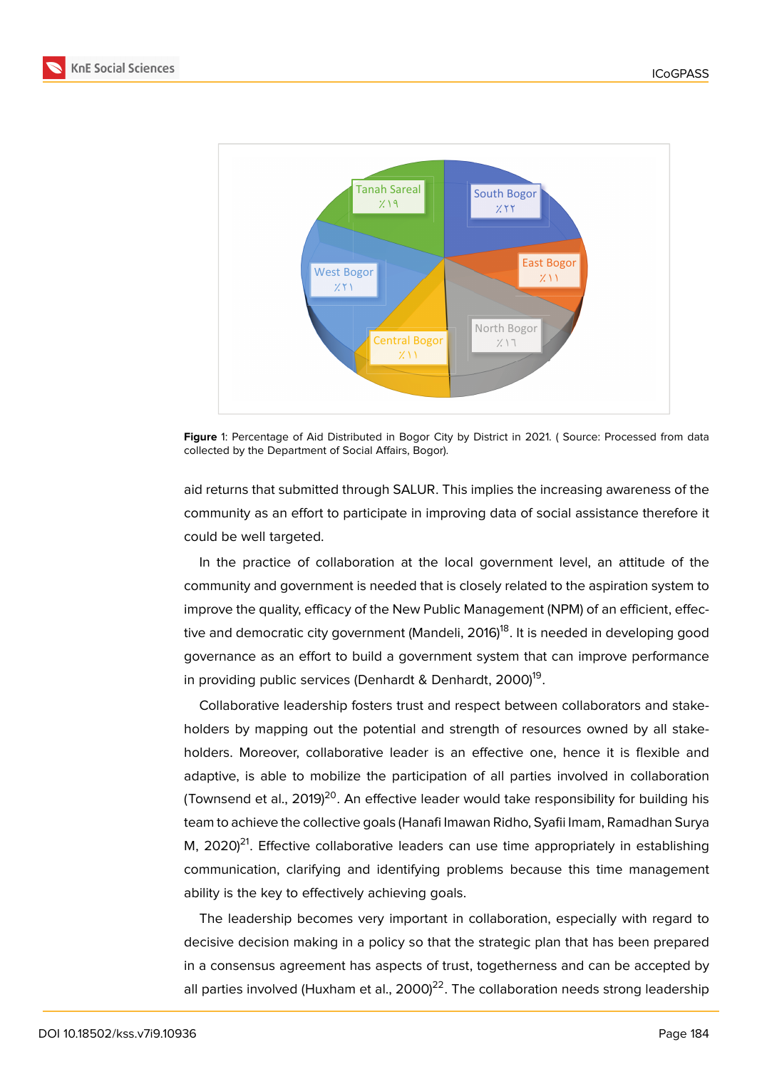



Figure 1: Percentage of Aid Distributed in Bogor City by District in 2021. (Source: Processed from data collected by the Department of Social Affairs, Bogor).

aid returns that submitted through SALUR. This implies the increasing awareness of the community as an effort to participate in improving data of social assistance therefore it could be well targeted.

In the practice of collaboration at the local government level, an attitude of the community and government is needed that is closely related to the aspiration system to improve the quality, efficacy of the New Public Management (NPM) of an efficient, effective and democratic city government (Mandeli, 2016)<sup>18</sup>. It is needed in developing good governance as an effort to build a government system that can improve performance in providing public services (Denhardt & Denhardt, 2000)<sup>19</sup>.

Collaborative leadership fosters trust and respect between collaborators and stakeholders by mapping out the potential and strength of resources owned by all stakeholders. Moreover, collaborative leader is an effective one, hence it is flexible and adaptive, is able to mobilize the participation of all parties involved in collaboration (Townsend et al.,  $2019$ )<sup>20</sup>. An effective leader would take responsibility for building his team to achieve the collective goals (Hanafi Imawan Ridho, Syafii Imam, Ramadhan Surya M,  $2020)^{21}$ . Effective collaborative leaders can use time appropriately in establishing communication, clarifying and identifying problems because this time management ability is the key to effectively achieving goals.

The leadership becomes very important in collaboration, especially with regard to decisive decision making in a policy so that the strategic plan that has been prepared in a consensus agreement has aspects of trust, togetherness and can be accepted by all parties involved (Huxham et al., 2000)<sup>22</sup>. The collaboration needs strong leadership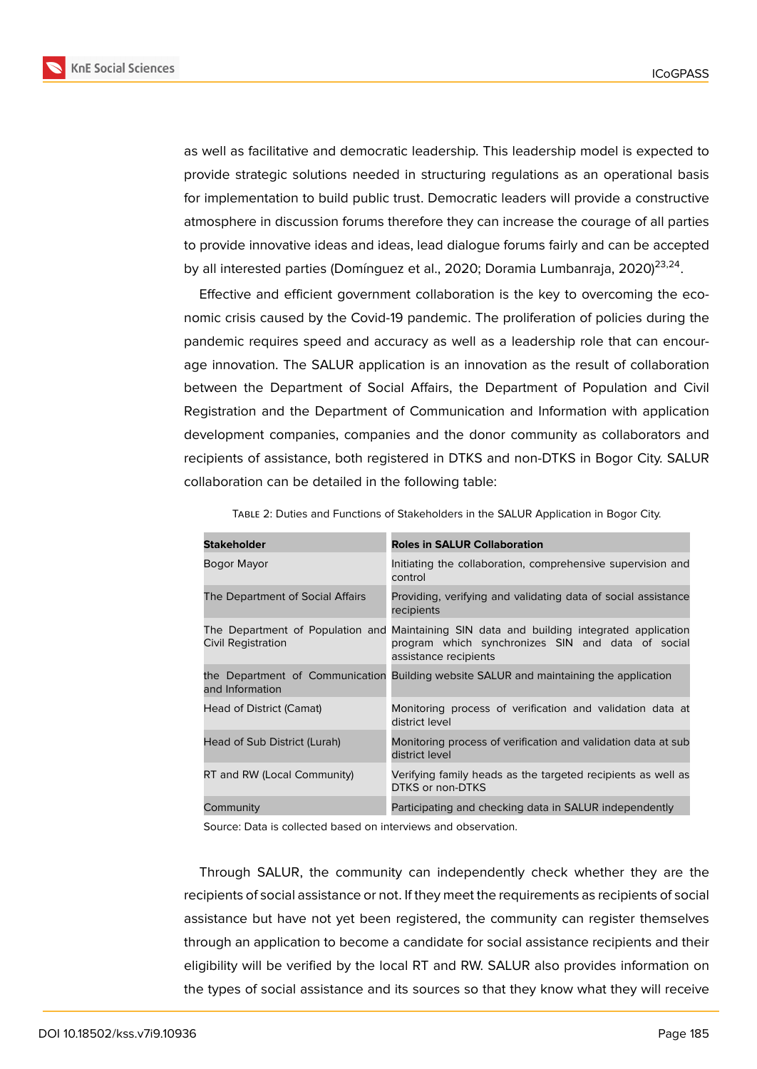

as well as facilitative and democratic leadership. This leadership model is expected to provide strategic solutions needed in structuring regulations as an operational basis for implementation to build public trust. Democratic leaders will provide a constructive atmosphere in discussion forums therefore they can increase the courage of all parties to provide innovative ideas and ideas, lead dialogue forums fairly and can be accepted by all interested parties (Domínguez et al., 2020; Doramia Lumbanraja, 2020)<sup>23,24</sup>.

Effective and efficient government collaboration is the key to overcoming the economic crisis caused by the Covid-19 pandemic. The proliferation of policies during the pandemic requires speed and accuracy as well as a leadership role that can encourage innovation. The SALUR application is an innovation as the result of collaboration between the Department of Social Affairs, the Department of Population and Civil Registration and the Department of Communication and Information with application development companies, companies and the donor community as collaborators and recipients of assistance, both registered in DTKS and non-DTKS in Bogor City. SALUR collaboration can be detailed in the following table:

| <b>Stakeholder</b>               | <b>Roles in SALUR Collaboration</b>                                                                                                                                     |
|----------------------------------|-------------------------------------------------------------------------------------------------------------------------------------------------------------------------|
| Bogor Mayor                      | Initiating the collaboration, comprehensive supervision and<br>control                                                                                                  |
| The Department of Social Affairs | Providing, verifying and validating data of social assistance<br>recipients                                                                                             |
| Civil Registration               | The Department of Population and Maintaining SIN data and building integrated application<br>program which synchronizes SIN and data of social<br>assistance recipients |
| and Information                  | the Department of Communication Building website SALUR and maintaining the application                                                                                  |
| Head of District (Camat)         | Monitoring process of verification and validation data at<br>district level                                                                                             |
| Head of Sub District (Lurah)     | Monitoring process of verification and validation data at sub<br>district level                                                                                         |
| RT and RW (Local Community)      | Verifying family heads as the targeted recipients as well as<br>DTKS or non-DTKS                                                                                        |
| Community                        | Participating and checking data in SALUR independently                                                                                                                  |

Table 2: Duties and Functions of Stakeholders in the SALUR Application in Bogor City.

Source: Data is collected based on interviews and observation.

Through SALUR, the community can independently check whether they are the recipients of social assistance or not. If they meet the requirements as recipients of social assistance but have not yet been registered, the community can register themselves through an application to become a candidate for social assistance recipients and their eligibility will be verified by the local RT and RW. SALUR also provides information on the types of social assistance and its sources so that they know what they will receive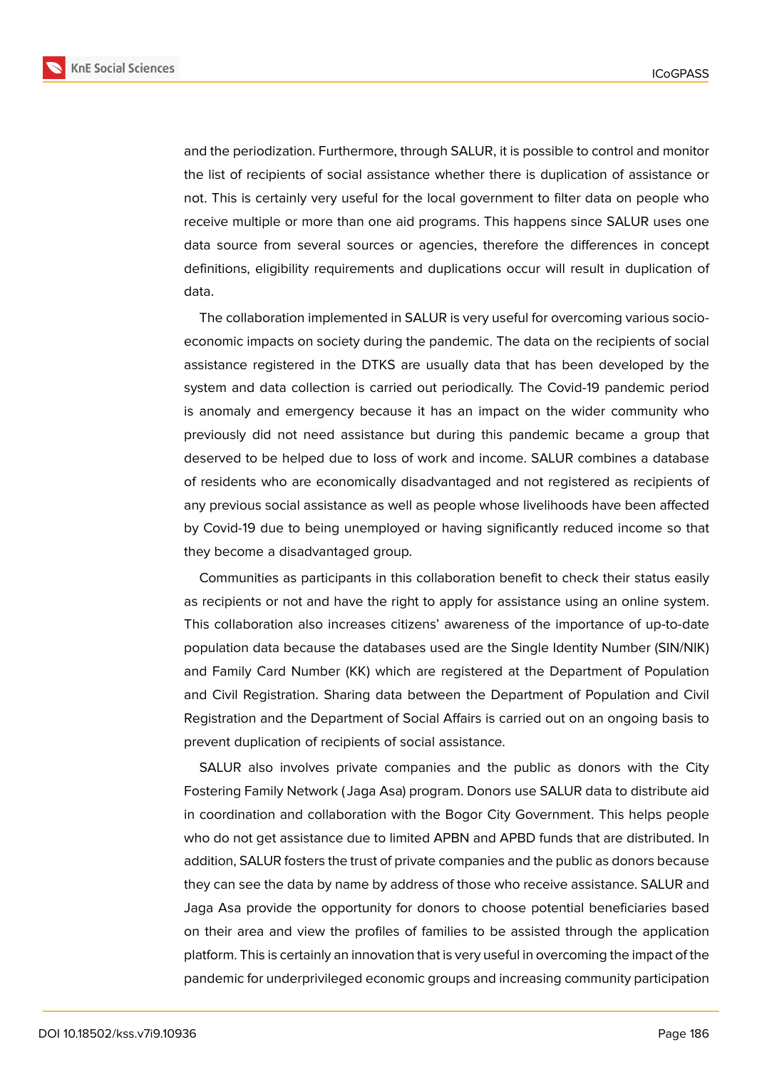**KnE Social Sciences** 



and the periodization. Furthermore, through SALUR, it is possible to control and monitor the list of recipients of social assistance whether there is duplication of assistance or not. This is certainly very useful for the local government to filter data on people who receive multiple or more than one aid programs. This happens since SALUR uses one data source from several sources or agencies, therefore the differences in concept definitions, eligibility requirements and duplications occur will result in duplication of data.

The collaboration implemented in SALUR is very useful for overcoming various socioeconomic impacts on society during the pandemic. The data on the recipients of social assistance registered in the DTKS are usually data that has been developed by the system and data collection is carried out periodically. The Covid-19 pandemic period is anomaly and emergency because it has an impact on the wider community who previously did not need assistance but during this pandemic became a group that deserved to be helped due to loss of work and income. SALUR combines a database of residents who are economically disadvantaged and not registered as recipients of any previous social assistance as well as people whose livelihoods have been affected by Covid-19 due to being unemployed or having significantly reduced income so that they become a disadvantaged group.

Communities as participants in this collaboration benefit to check their status easily as recipients or not and have the right to apply for assistance using an online system. This collaboration also increases citizens' awareness of the importance of up-to-date population data because the databases used are the Single Identity Number (SIN/NIK) and Family Card Number (KK) which are registered at the Department of Population and Civil Registration. Sharing data between the Department of Population and Civil Registration and the Department of Social Affairs is carried out on an ongoing basis to prevent duplication of recipients of social assistance.

SALUR also involves private companies and the public as donors with the City Fostering Family Network ( Jaga Asa) program. Donors use SALUR data to distribute aid in coordination and collaboration with the Bogor City Government. This helps people who do not get assistance due to limited APBN and APBD funds that are distributed. In addition, SALUR fosters the trust of private companies and the public as donors because they can see the data by name by address of those who receive assistance. SALUR and Jaga Asa provide the opportunity for donors to choose potential beneficiaries based on their area and view the profiles of families to be assisted through the application platform. This is certainly an innovation that is very useful in overcoming the impact of the pandemic for underprivileged economic groups and increasing community participation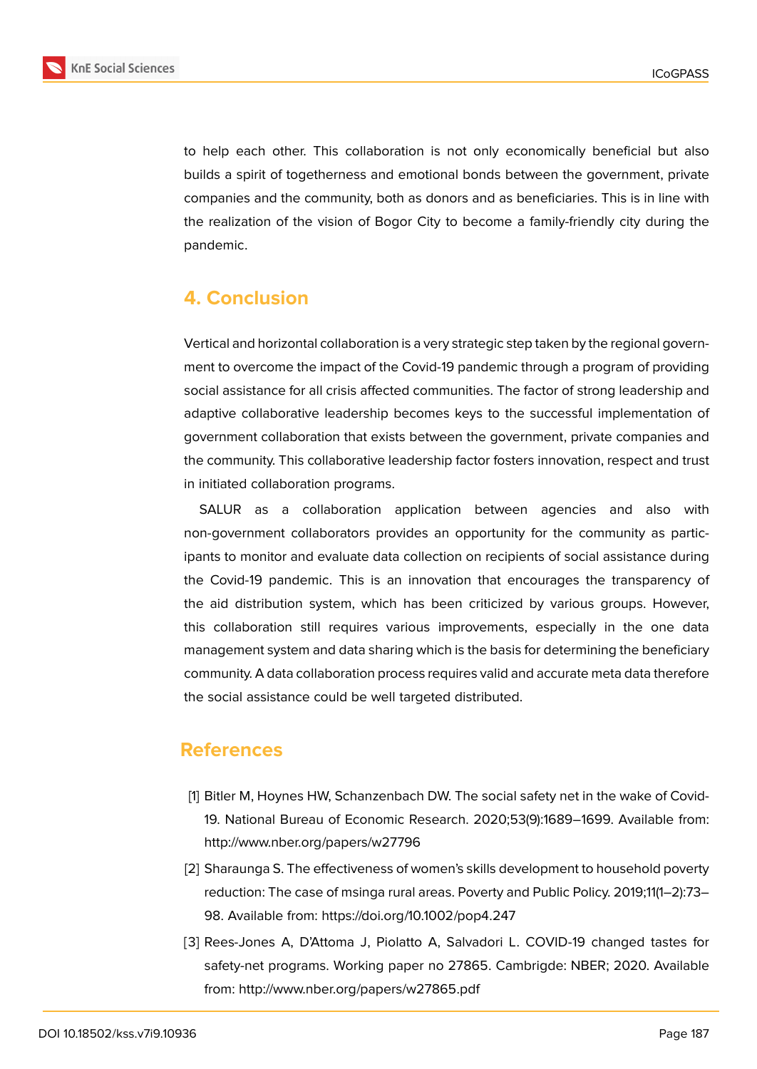

to help each other. This collaboration is not only economically beneficial but also builds a spirit of togetherness and emotional bonds between the government, private companies and the community, both as donors and as beneficiaries. This is in line with the realization of the vision of Bogor City to become a family-friendly city during the pandemic.

## **4. Conclusion**

Vertical and horizontal collaboration is a very strategic step taken by the regional government to overcome the impact of the Covid-19 pandemic through a program of providing social assistance for all crisis affected communities. The factor of strong leadership and adaptive collaborative leadership becomes keys to the successful implementation of government collaboration that exists between the government, private companies and the community. This collaborative leadership factor fosters innovation, respect and trust in initiated collaboration programs.

SALUR as a collaboration application between agencies and also with non-government collaborators provides an opportunity for the community as participants to monitor and evaluate data collection on recipients of social assistance during the Covid-19 pandemic. This is an innovation that encourages the transparency of the aid distribution system, which has been criticized by various groups. However, this collaboration still requires various improvements, especially in the one data management system and data sharing which is the basis for determining the beneficiary community. A data collaboration process requires valid and accurate meta data therefore the social assistance could be well targeted distributed.

#### **References**

- [1] Bitler M, Hoynes HW, Schanzenbach DW. The social safety net in the wake of Covid-19. National Bureau of Economic Research. 2020;53(9):1689–1699. Available from: http://www.nber.org/papers/w27796
- [2] Sharaunga S. The effectiveness of women's skills development to household poverty reduction: The case of msinga rural areas. Poverty and Public Policy. 2019;11(1–2):73– 98. Available from: https://doi.org/10.1002/pop4.247
- [3] Rees-Jones A, D'Attoma J, Piolatto A, Salvadori L. COVID-19 changed tastes for safety-net programs. Working paper no 27865. Cambrigde: NBER; 2020. Available from: http://www.nber.org/papers/w27865.pdf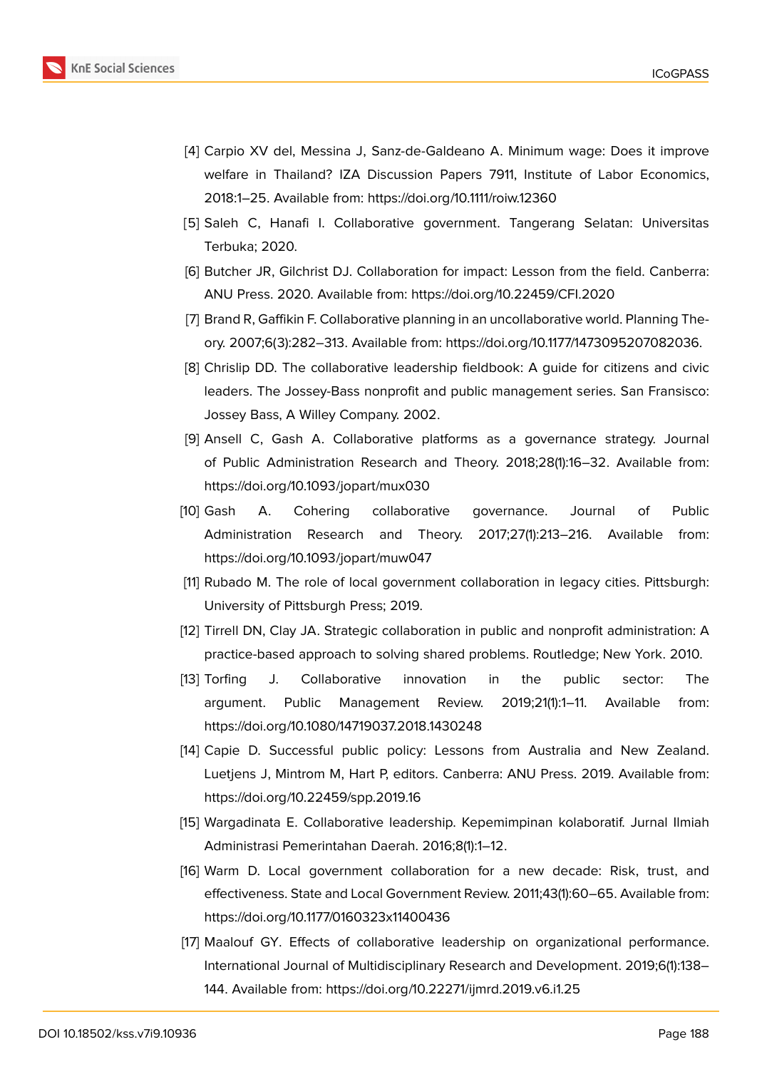

- [4] Carpio XV del, Messina J, Sanz-de-Galdeano A. Minimum wage: Does it improve welfare in Thailand? IZA Discussion Papers 7911, Institute of Labor Economics, 2018:1–25. Available from: https://doi.org/10.1111/roiw.12360
- [5] Saleh C, Hanafi I. Collaborative government. Tangerang Selatan: Universitas Terbuka; 2020.
- [6] Butcher JR, Gilchrist DJ. Collaboration for impact: Lesson from the field. Canberra: ANU Press. 2020. Available from: https://doi.org/10.22459/CFI.2020
- [7] Brand R, Gaffikin F. Collaborative planning in an uncollaborative world. Planning Theory. 2007;6(3):282–313. Available from: https://doi.org/10.1177/1473095207082036.
- [8] Chrislip DD. The collaborative leadership fieldbook: A guide for citizens and civic leaders. The Jossey-Bass nonprofit and public management series. San Fransisco: Jossey Bass, A Willey Company. 2002.
- [9] Ansell C, Gash A. Collaborative platforms as a governance strategy. Journal of Public Administration Research and Theory. 2018;28(1):16–32. Available from: https://doi.org/10.1093/jopart/mux030
- [10] Gash A. Cohering collaborative governance. Journal of Public Administration Research and Theory. 2017;27(1):213–216. Available from: https://doi.org/10.1093/jopart/muw047
- [11] Rubado M. The role of local government collaboration in legacy cities. Pittsburgh: University of Pittsburgh Press; 2019.
- [12] Tirrell DN, Clay JA. Strategic collaboration in public and nonprofit administration: A practice-based approach to solving shared problems. Routledge; New York. 2010.
- [13] Torfing J. Collaborative innovation in the public sector: The argument. Public Management Review. 2019;21(1):1–11. Available from: https://doi.org/10.1080/14719037.2018.1430248
- [14] Capie D. Successful public policy: Lessons from Australia and New Zealand. Luetjens J, Mintrom M, Hart P, editors. Canberra: ANU Press. 2019. Available from: https://doi.org/10.22459/spp.2019.16
- [15] Wargadinata E. Collaborative leadership. Kepemimpinan kolaboratif. Jurnal Ilmiah Administrasi Pemerintahan Daerah. 2016;8(1):1–12.
- [16] Warm D. Local government collaboration for a new decade: Risk, trust, and effectiveness. State and Local Government Review. 2011;43(1):60–65. Available from: https://doi.org/10.1177/0160323x11400436
- [17] Maalouf GY. Effects of collaborative leadership on organizational performance. International Journal of Multidisciplinary Research and Development. 2019;6(1):138– 144. Available from: https://doi.org/10.22271/ijmrd.2019.v6.i1.25